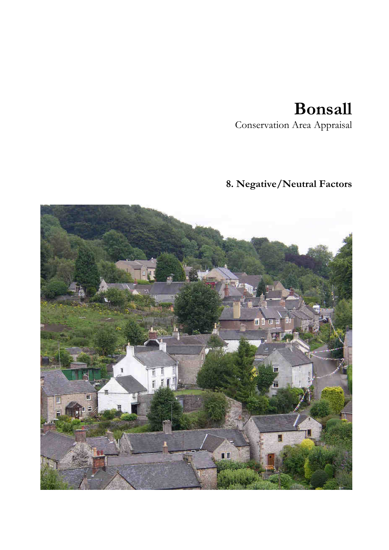# **Bonsall**

Conservation Area Appraisal

# **8. Negative/Neutral Factors**

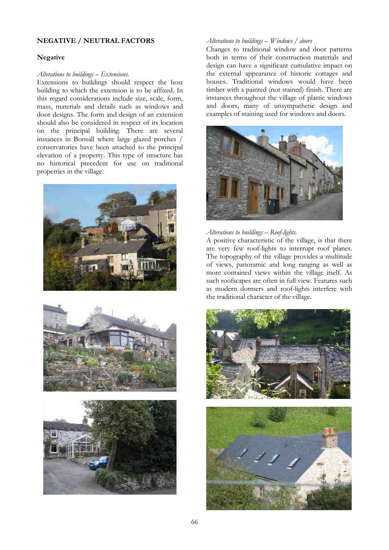# **NEGATIVE / NEUTRAL FACTORS**

### **Negative**

#### *Alterations to buildings – Extensions.*

Extensions to buildings should respect the host building to which the extension is to be affixed. In this regard considerations include size, scale, form, mass, materials and details such as windows and door designs. The form and design of an extension should also be considered in respect of its location on the principal building. There are several instances in Bonsall where large glazed porches / conservatories have been attached to the principal elevation of a property. This type of structure has no historical precedent for use on traditional properties in the village.







#### *Alterations to buildings – Windows / doors*

Changes to traditional window and door patterns both in terms of their construction materials and design can have a significant cumulative impact on the external appearance of historic cottages and houses. Traditional windows would have been timber with a painted (not stained) finish. There are instances throughout the village of plastic windows and doors, many of unsympathetic design and examples of staining used for windows and doors.



#### *Alterations to buildings – Roof-lights.*

A positive characteristic of the village, is that there are very few roof-lights to interrupt roof planes. The topography of the village provides a multitude of views, panoramic and long ranging as well as more contained views within the village itself. As such roofscapes are often in full view. Features such as modern dormers and roof-lights interfere with the traditional character of the village.

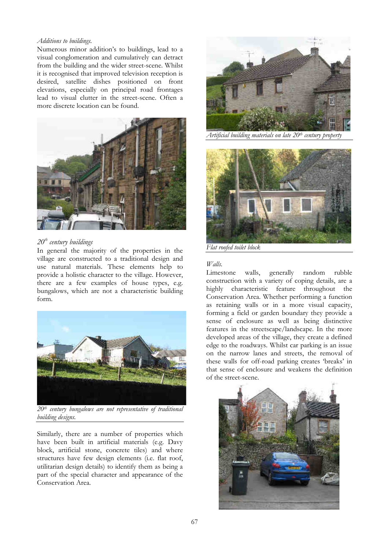#### *Additions to buildings.*

Numerous minor addition's to buildings, lead to a visual conglomeration and cumulatively can detract from the building and the wider street-scene. Whilst it is recognised that improved television reception is desired, satellite dishes positioned on front elevations, especially on principal road frontages lead to visual clutter in the street-scene. Often a more discrete location can be found.



# *20th century buildings*

In general the majority of the properties in the village are constructed to a traditional design and use natural materials. These elements help to provide a holistic character to the village. However, there are a few examples of house types, e.g. bungalows, which are not a characteristic building form.



*20th century bungalows are not representative of traditional building designs.* 

Similarly, there are a number of properties which have been built in artificial materials (e.g. Davy block, artificial stone, concrete tiles) and where structures have few design elements (i.e. flat roof, utilitarian design details) to identify them as being a part of the special character and appearance of the Conservation Area.



*Artificial building materials on late 20th century property* 



*Flat roofed toilet block* 

# *Walls.*

Limestone walls, generally random rubble construction with a variety of coping details, are a highly characteristic feature throughout the Conservation Area. Whether performing a function as retaining walls or in a more visual capacity, forming a field or garden boundary they provide a sense of enclosure as well as being distinctive features in the streetscape/landscape. In the more developed areas of the village, they create a defined edge to the roadways. Whilst car parking is an issue on the narrow lanes and streets, the removal of these walls for off-road parking creates 'breaks' in that sense of enclosure and weakens the definition of the street-scene.

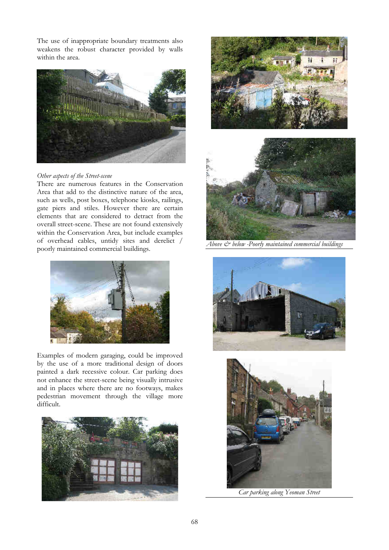The use of inappropriate boundary treatments also weakens the robust character provided by walls within the area.



# *Other aspects of the Street-scene*

There are numerous features in the Conservation Area that add to the distinctive nature of the area, such as wells, post boxes, telephone kiosks, railings, gate piers and stiles. However there are certain elements that are considered to detract from the overall street-scene. These are not found extensively within the Conservation Area, but include examples of overhead cables, untidy sites and derelict / poorly maintained commercial buildings.



Examples of modern garaging, could be improved by the use of a more traditional design of doors painted a dark recessive colour. Car parking does not enhance the street-scene being visually intrusive and in places where there are no footways, makes pedestrian movement through the village more difficult.







*Above & below -Poorly maintained commercial buildings* 





*Car parking along Yeoman Street*